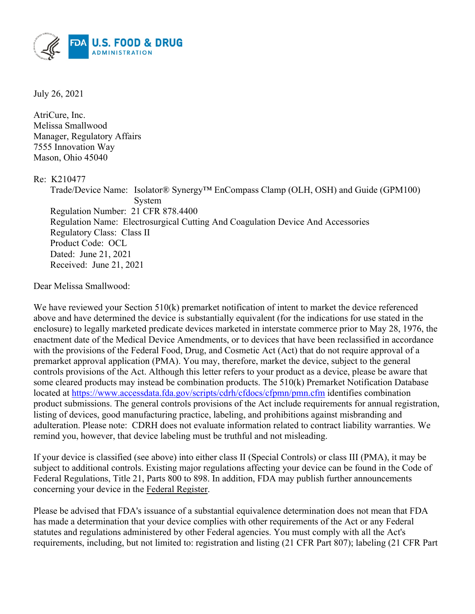

July 26, 2021

AtriCure, Inc. Melissa Smallwood Manager, Regulatory Affairs 7555 Innovation Way Mason, Ohio 45040

Re: K210477

Trade/Device Name: Isolator® Synergy™ EnCompass Clamp (OLH, OSH) and Guide (GPM100) System Regulation Number: 21 CFR 878.4400 Regulation Name: Electrosurgical Cutting And Coagulation Device And Accessories Regulatory Class: Class II Product Code: OCL Dated: June 21, 2021 Received: June 21, 2021

Dear Melissa Smallwood:

We have reviewed your Section 510(k) premarket notification of intent to market the device referenced above and have determined the device is substantially equivalent (for the indications for use stated in the enclosure) to legally marketed predicate devices marketed in interstate commerce prior to May 28, 1976, the enactment date of the Medical Device Amendments, or to devices that have been reclassified in accordance with the provisions of the Federal Food, Drug, and Cosmetic Act (Act) that do not require approval of a premarket approval application (PMA). You may, therefore, market the device, subject to the general controls provisions of the Act. Although this letter refers to your product as a device, please be aware that some cleared products may instead be combination products. The 510(k) Premarket Notification Database located at<https://www.accessdata.fda.gov/scripts/cdrh/cfdocs/cfpmn/pmn.cfm> identifies combination product submissions. The general controls provisions of the Act include requirements for annual registration, listing of devices, good manufacturing practice, labeling, and prohibitions against misbranding and adulteration. Please note: CDRH does not evaluate information related to contract liability warranties. We remind you, however, that device labeling must be truthful and not misleading.

If your device is classified (see above) into either class II (Special Controls) or class III (PMA), it may be subject to additional controls. Existing major regulations affecting your device can be found in the Code of Federal Regulations, Title 21, Parts 800 to 898. In addition, FDA may publish further announcements concerning your device in the Federal Register.

Please be advised that FDA's issuance of a substantial equivalence determination does not mean that FDA has made a determination that your device complies with other requirements of the Act or any Federal statutes and regulations administered by other Federal agencies. You must comply with all the Act's requirements, including, but not limited to: registration and listing (21 CFR Part 807); labeling (21 CFR Part